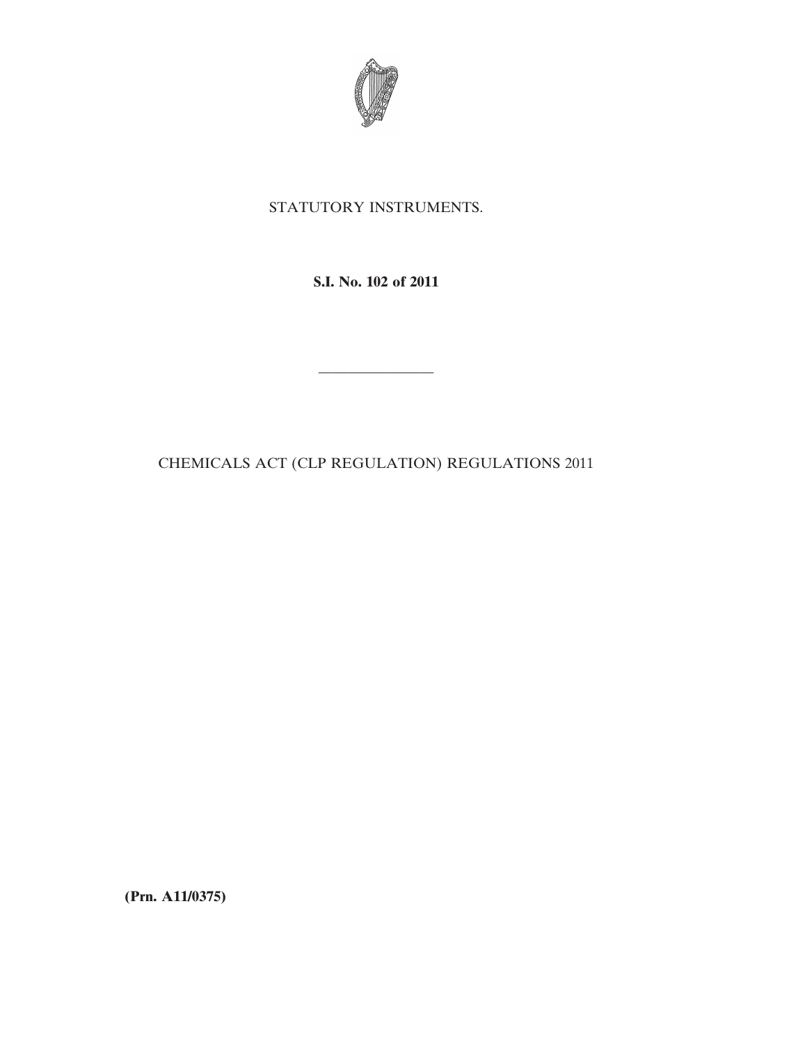

## STATUTORY INSTRUMENTS.

**S.I. No. 102 of 2011**

————————

CHEMICALS ACT (CLP REGULATION) REGULATIONS 2011

**(Prn. A11/0375)**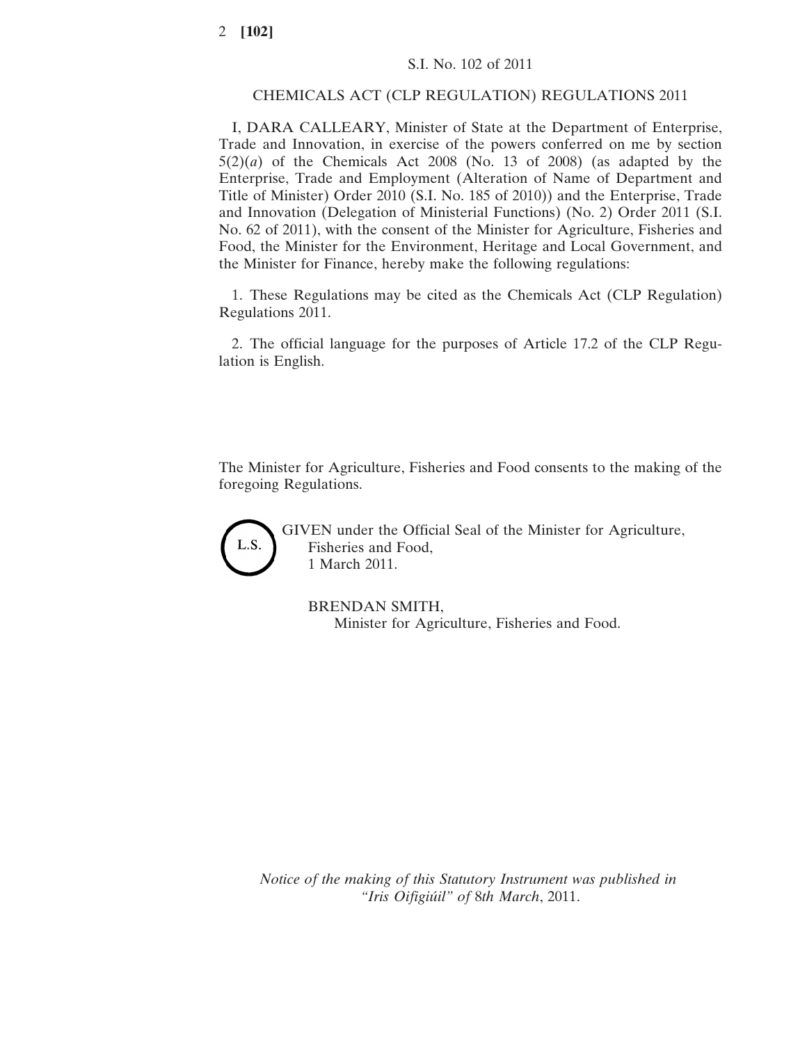## CHEMICALS ACT (CLP REGULATION) REGULATIONS 2011

I, DARA CALLEARY, Minister of State at the Department of Enterprise, Trade and Innovation, in exercise of the powers conferred on me by section  $5(2)(a)$  of the Chemicals Act 2008 (No. 13 of 2008) (as adapted by the Enterprise, Trade and Employment (Alteration of Name of Department and Title of Minister) Order 2010 (S.I. No. 185 of 2010)) and the Enterprise, Trade and Innovation (Delegation of Ministerial Functions) (No. 2) Order 2011 (S.I. No. 62 of 2011), with the consent of the Minister for Agriculture, Fisheries and Food, the Minister for the Environment, Heritage and Local Government, and the Minister for Finance, hereby make the following regulations:

1. These Regulations may be cited as the Chemicals Act (CLP Regulation) Regulations 2011.

2. The official language for the purposes of Article 17.2 of the CLP Regulation is English.

The Minister for Agriculture, Fisheries and Food consents to the making of the foregoing Regulations.



GIVEN under the Official Seal of the Minister for Agriculture, Fisheries and Food, 1 March 2011.

BRENDAN SMITH, Minister for Agriculture, Fisheries and Food.

*Notice of the making of this Statutory Instrument was published in "Iris Oifigiúil" of* 8*th March*, 2011.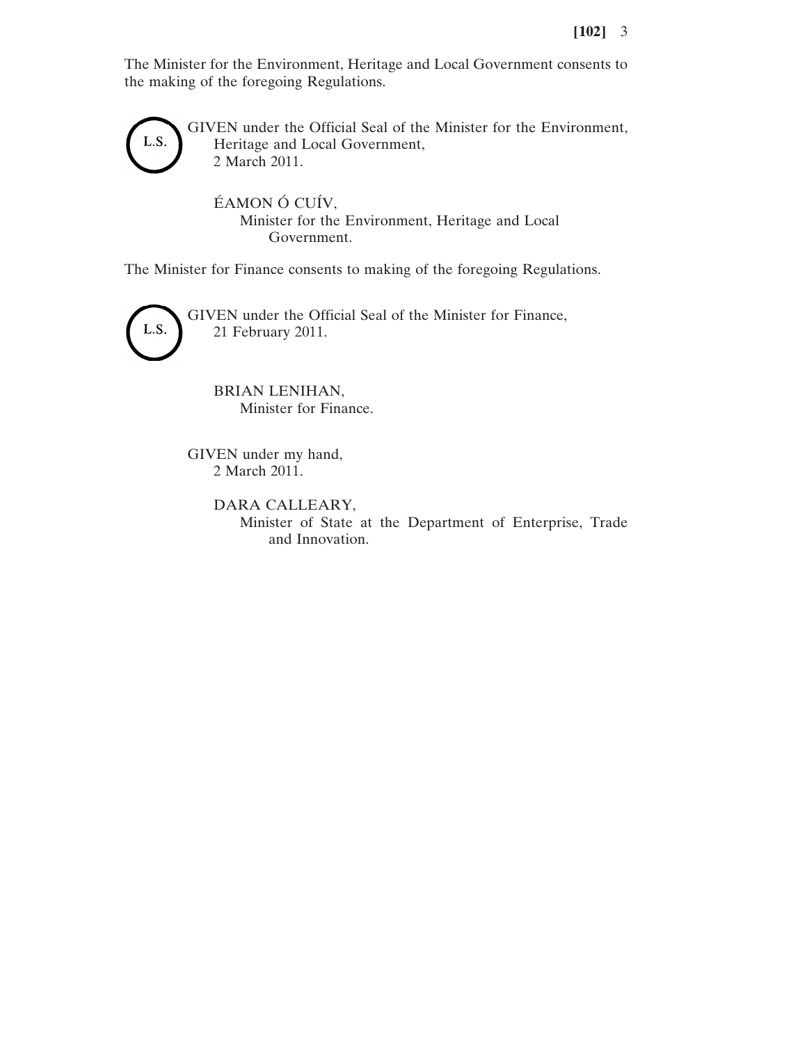The Minister for the Environment, Heritage and Local Government consents to the making of the foregoing Regulations.



GIVEN under the Official Seal of the Minister for the Environment, Heritage and Local Government, 2 March 2011.

ÉAMON Ó CUÍV, Minister for the Environment, Heritage and Local Government.

The Minister for Finance consents to making of the foregoing Regulations.



GIVEN under the Official Seal of the Minister for Finance, 21 February 2011.

BRIAN LENIHAN, Minister for Finance.

GIVEN under my hand, 2 March 2011.

> DARA CALLEARY, Minister of State at the Department of Enterprise, Trade and Innovation.